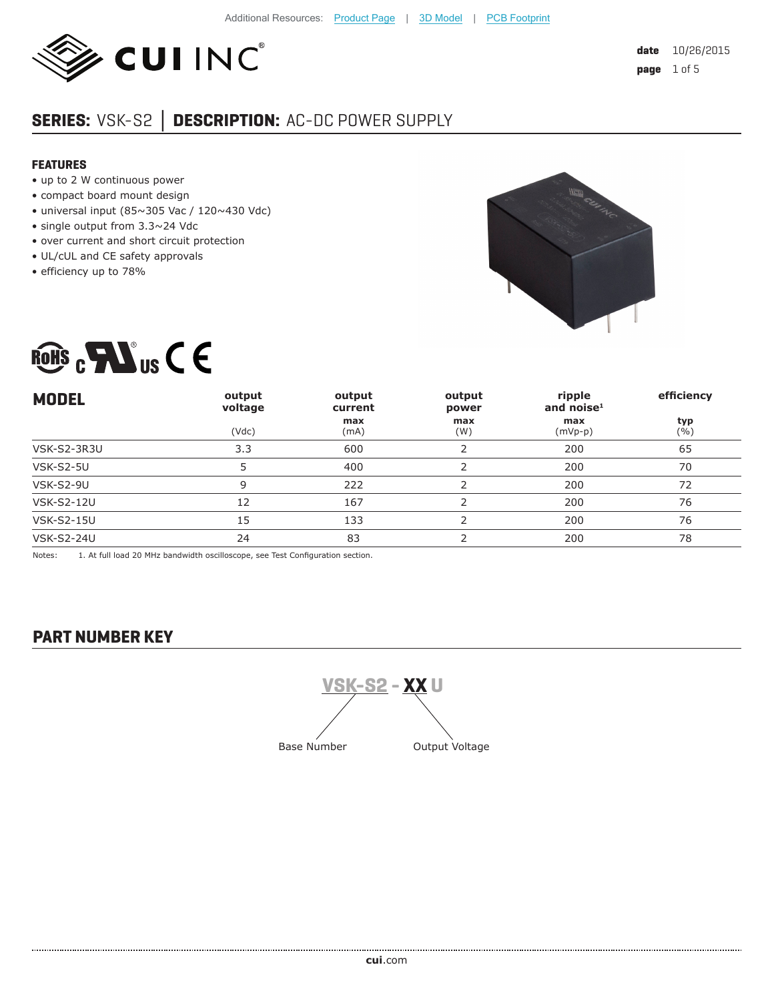

# **SERIES:** VSK-S2 **│ DESCRIPTION:** AC-DC POWER SUPPLY

#### **FEATURES**

- up to 2 W continuous power
- compact board mount design
- universal input (85~305 Vac /  $120~430$  Vdc)
- single output from 3.3~24 Vdc
- over current and short circuit protection
- UL/cUL and CE safety approvals
- efficiency up to 78%





| <b>MODEL</b>      | output<br>voltage | output<br>current | output<br>power | ripple<br>and noise $1$ | efficiency  |
|-------------------|-------------------|-------------------|-----------------|-------------------------|-------------|
|                   | (Vdc)             | max<br>(mA)       | max<br>(W)      | max<br>$(mVp-p)$        | typ<br>( %) |
| VSK-S2-3R3U       | 3.3               | 600               |                 | 200                     | 65          |
| <b>VSK-S2-5U</b>  | 5                 | 400               |                 | 200                     | 70          |
| <b>VSK-S2-9U</b>  | 9                 | 222               |                 | 200                     | 72          |
| <b>VSK-S2-12U</b> | 12                | 167               |                 | 200                     | 76          |
| <b>VSK-S2-15U</b> | 15                | 133               |                 | 200                     | 76          |
| <b>VSK-S2-24U</b> | 24                | 83                |                 | 200                     | 78          |

Notes: 1. At full load 20 MHz bandwidth oscilloscope, see Test Configuration section.

### **PART NUMBER KEY**

**VSK-S2 - XX U** Base Number Output Voltage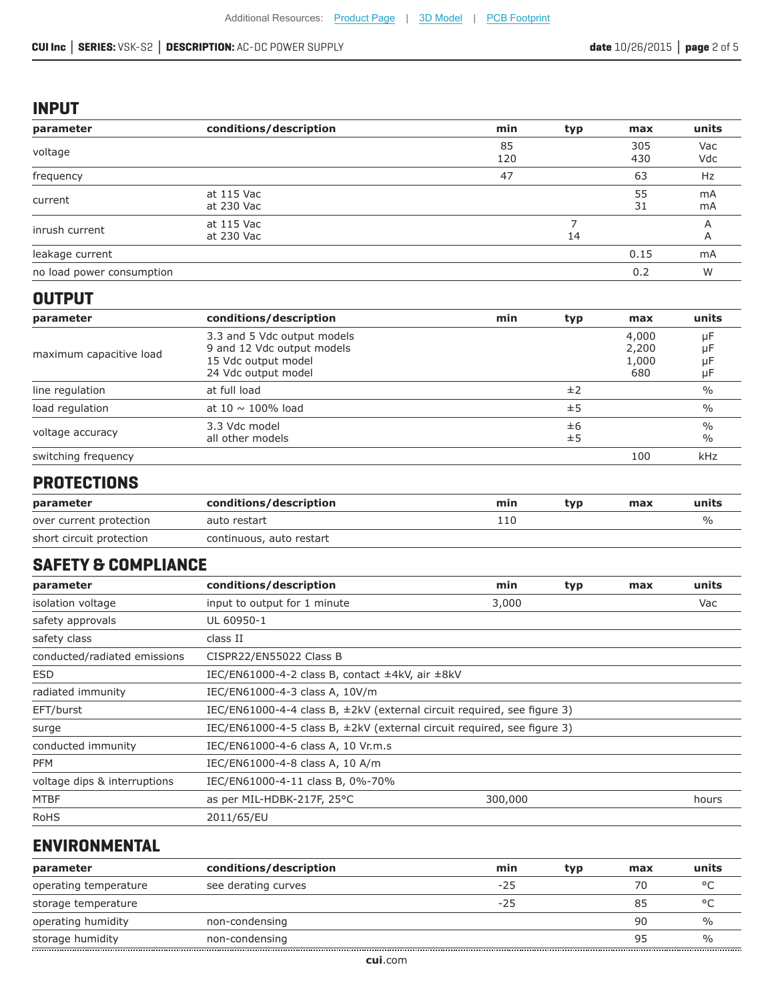#### **CUI Inc │ SERIES:** VSK-S2 **│ DESCRIPTION:** AC-DC POWER SUPPLY **date** 10/26/2015 **│ page** 2 of 5

#### **INPUT**

| parameter                 | conditions/description   | min       | typ | max        | units      |
|---------------------------|--------------------------|-----------|-----|------------|------------|
| voltage                   |                          | 85<br>120 |     | 305<br>430 | Vac<br>Vdc |
| frequency                 |                          | 47        |     | 63         | Hz         |
| current                   | at 115 Vac<br>at 230 Vac |           |     | 55<br>31   | mA<br>mA   |
| inrush current            | at 115 Vac<br>at 230 Vac |           | 14  |            |            |
| leakage current           |                          |           |     | 0.15       | mA         |
| no load power consumption |                          |           |     | 0.2        | W          |

#### **OUTPUT**

| parameter               | conditions/description                                                                                  | min | typ      | max                            | units                 |
|-------------------------|---------------------------------------------------------------------------------------------------------|-----|----------|--------------------------------|-----------------------|
| maximum capacitive load | 3.3 and 5 Vdc output models<br>9 and 12 Vdc output models<br>15 Vdc output model<br>24 Vdc output model |     |          | 4,000<br>2,200<br>1,000<br>680 | μF<br>μF<br>μF<br>μF  |
| line regulation         | at full load                                                                                            |     | ±2       |                                | $\frac{0}{0}$         |
| load regulation         | at 10 $\sim$ 100% load                                                                                  |     | ±5       |                                | $\%$                  |
| voltage accuracy        | 3.3 Vdc model<br>all other models                                                                       |     | ±6<br>±5 |                                | $\frac{0}{0}$<br>$\%$ |
| switching frequency     |                                                                                                         |     |          | 100                            | <b>kHz</b>            |

## **PROTECTIONS**

| parameter                | conditions/description   | mın | tvo | max | units |
|--------------------------|--------------------------|-----|-----|-----|-------|
| over current protection  | auto restart             | 110 |     |     | %     |
| short circuit protection | continuous, auto restart |     |     |     |       |

### **SAFETY & COMPLIANCE**

| parameter                    | conditions/description                                                       | min     | typ | max | units |
|------------------------------|------------------------------------------------------------------------------|---------|-----|-----|-------|
| isolation voltage            | input to output for 1 minute                                                 | 3,000   |     |     | Vac   |
| safety approvals             | UL 60950-1                                                                   |         |     |     |       |
| safety class                 | class II                                                                     |         |     |     |       |
| conducted/radiated emissions | CISPR22/EN55022 Class B                                                      |         |     |     |       |
| ESD                          | IEC/EN61000-4-2 class B, contact ±4kV, air ±8kV                              |         |     |     |       |
| radiated immunity            | IEC/EN61000-4-3 class A, 10V/m                                               |         |     |     |       |
| EFT/burst                    | IEC/EN61000-4-4 class B, $\pm$ 2kV (external circuit required, see figure 3) |         |     |     |       |
| surge                        | IEC/EN61000-4-5 class B, $\pm 2kV$ (external circuit required, see figure 3) |         |     |     |       |
| conducted immunity           | IEC/EN61000-4-6 class A, 10 Vr.m.s                                           |         |     |     |       |
| <b>PFM</b>                   | IEC/EN61000-4-8 class A, 10 A/m                                              |         |     |     |       |
| voltage dips & interruptions | IEC/EN61000-4-11 class B, 0%-70%                                             |         |     |     |       |
| <b>MTBF</b>                  | as per MIL-HDBK-217F, 25°C                                                   | 300,000 |     |     | hours |
| <b>RoHS</b>                  | 2011/65/EU                                                                   |         |     |     |       |

## **ENVIRONMENTAL**

| parameter             | conditions/description | min   | typ | max | units   |
|-----------------------|------------------------|-------|-----|-----|---------|
| operating temperature | see derating curves    | $-25$ |     | 70  | $\circ$ |
| storage temperature   |                        | $-25$ |     | 85  | $\circ$ |
| operating humidity    | non-condensing         |       |     | 90  |         |
| storage humidity      | non-condensing         |       |     | 95  |         |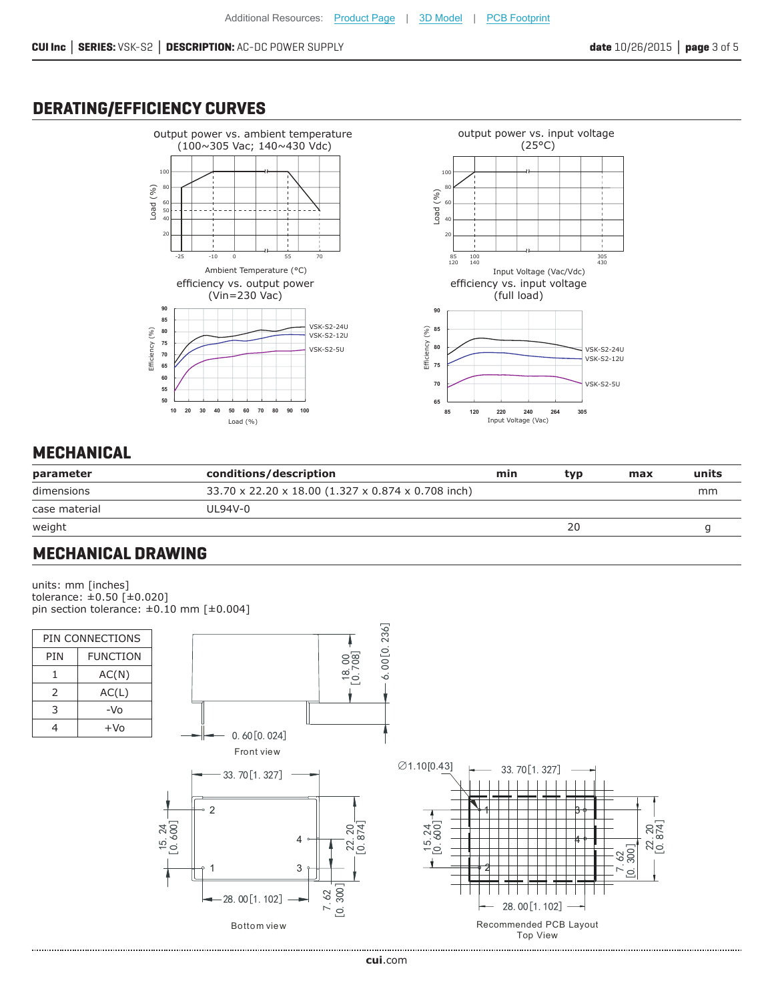## **DERATING/EFFICIENCY CURVES**





## **MECHANICAL**

| parameter     | conditions/description                             | min | tvp | max | units |
|---------------|----------------------------------------------------|-----|-----|-----|-------|
| dimensions    | 33.70 x 22.20 x 18.00 (1.327 x 0.874 x 0.708 inch) |     |     |     | mm    |
| case material | $U194V-0$                                          |     |     |     |       |
| weight        |                                                    |     | 20  |     |       |

## **MECHANICAL DRAWING**

units: mm [inches] tolerance: ±0.50 [±0.020] pin section tolerance: ±0.10 mm [±0.004]

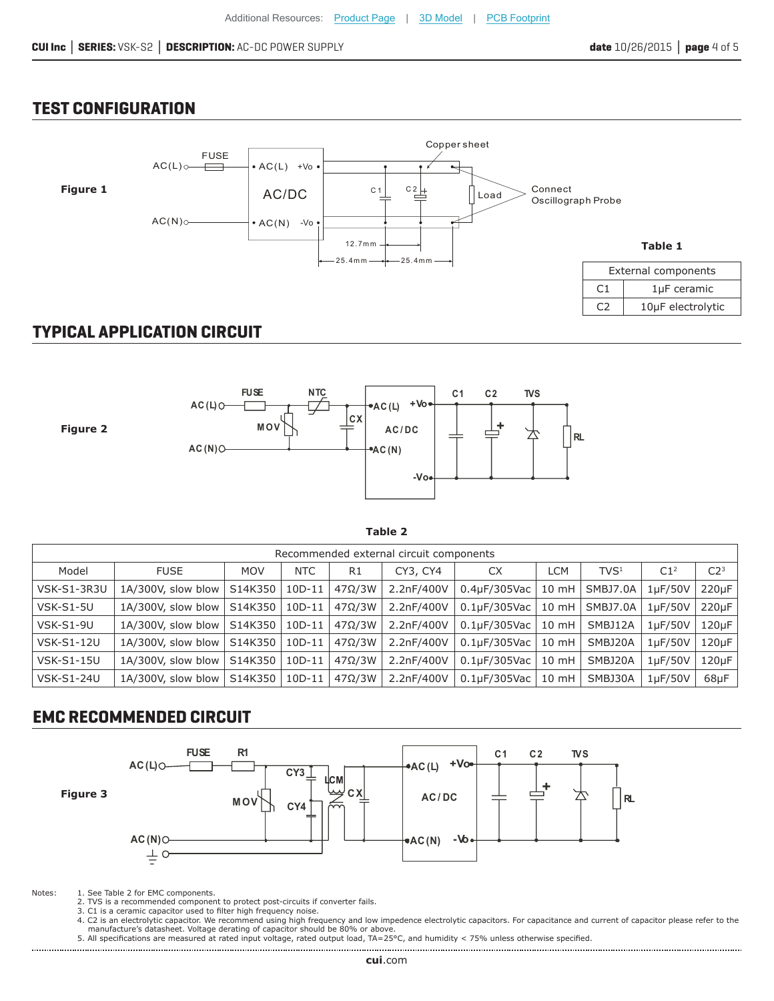#### **TEST CONFIGURATION**



## **TYPICAL APPLICATION CIRCUIT**



**Table 2**

| Recommended external circuit components |                    |            |            |               |            |                     |                 |                  |                 |                 |
|-----------------------------------------|--------------------|------------|------------|---------------|------------|---------------------|-----------------|------------------|-----------------|-----------------|
| Model                                   | <b>FUSE</b>        | <b>MOV</b> | <b>NTC</b> | R1            | CY3, CY4   | <b>CX</b>           | <b>LCM</b>      | TVS <sup>1</sup> | C1 <sup>2</sup> | C2 <sup>3</sup> |
| VSK-S1-3R3U                             | 1A/300V, slow blow | S14K350    | $10D-11$   | $47\Omega/3W$ | 2.2nF/400V | $0.4\mu F/305$ Vac  | $10 \text{ mH}$ | SMBJ7.0A         | $1\mu$ F/50V    | $220\mu F$      |
| <b>VSK-S1-5U</b>                        | 1A/300V, slow blow | S14K350    | $10D-11$   | $47\Omega/3W$ | 2.2nF/400V | $0.1$ u $F/305$ Vac | $10 \text{ mH}$ | SMBJ7.0A         | 1uF/50V         | 220uF           |
| VSK-S1-9U                               | 1A/300V, slow blow | S14K350    | $10D-11$   | $47\Omega/3W$ | 2.2nF/400V | 0.1uF/305Vac        | $10 \text{ mH}$ | SMBJ12A          | $1\mu$ F/50V    | $120\mu F$      |
| <b>VSK-S1-12U</b>                       | 1A/300V, slow blow | S14K350    | $10D-11$   | $47\Omega/3W$ | 2.2nF/400V | $0.1$ u $F/305$ Vac | $10 \text{ mH}$ | SMBJ20A          | $1\mu$ F/50V    | $120\mu F$      |
| <b>VSK-S1-15U</b>                       | 1A/300V, slow blow | S14K350    | $10D-11$   | $47\Omega/3W$ | 2.2nF/400V | $0.1\mu F/305$ Vac  | $10 \text{ mH}$ | SMBJ20A          | $1\mu$ F/50V    | $120\mu F$      |
| <b>VSK-S1-24U</b>                       | 1A/300V, slow blow | S14K350    | $10D-11$   | $47\Omega/3W$ | 2.2nF/400V | $0.1$ u $F/305$ Vac | $10 \text{ mH}$ | SMBJ30A          | $1\mu$ F/50V    | 68µF            |

## **EMC RECOMMENDED CIRCUIT**



Notes: 1. See Table 2 for EMC components.

2. TVS is a recommended component to protect post-circuits if converter fails. 3. C1 is a ceramic capacitor used to filter high frequency noise.

4. C2 is an electrolytic capacitor. We recommend using high frequency and low impedence electrolytic capacitors. For capacitance and current of capacitor please refer to the manufacture's datasheet. Voltage derating of capacitor should be 80% or above.

5. All specifications are measured at rated input voltage, rated output load, TA=25°C, and humidity < 75% unless otherwise specified.